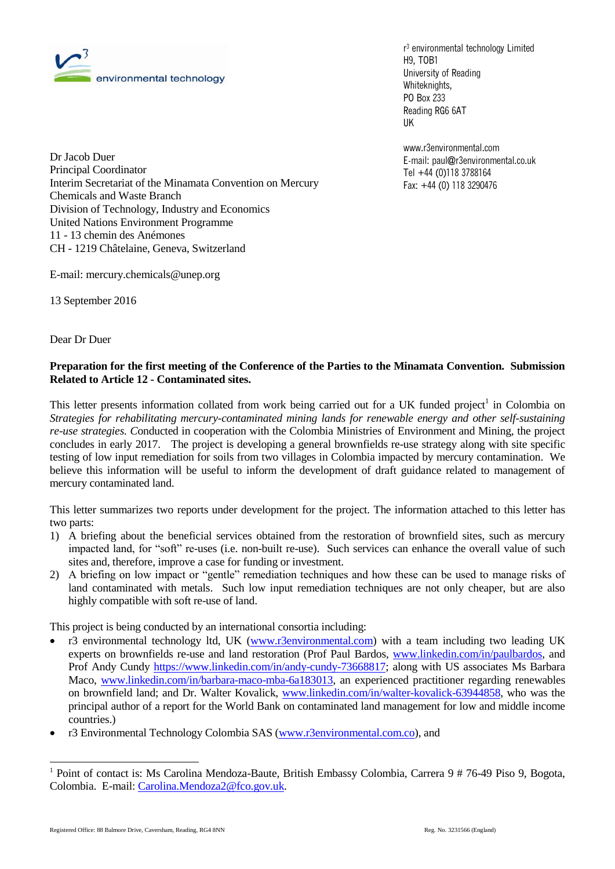

r <sup>3</sup> environmental technology Limited H9, TOB1 University of Reading Whiteknights, PO Box 233 Reading RG6 6AT UK

www.r3environmental.com E-mail: paul@r3environmental.co.uk Tel +44 (0)118 3788164 Fax: +44 (0) 118 3290476

Dr Jacob Duer Principal Coordinator Interim Secretariat of the Minamata Convention on Mercury Chemicals and Waste Branch Division of Technology, Industry and Economics United Nations Environment Programme 11 - 13 chemin des Anémones CH - 1219 Châtelaine, Geneva, Switzerland

E-mail: mercury.chemicals@unep.org

13 September 2016

Dear Dr Duer

### **Preparation for the first meeting of the Conference of the Parties to the Minamata Convention. Submission Related to Article 12 - Contaminated sites.**

This letter presents information collated from work being carried out for a UK funded project<sup>1</sup> in Colombia on *Strategies for rehabilitating mercury-contaminated mining lands for renewable energy and other self-sustaining re-use strategies. C*onducted in cooperation with the Colombia Ministries of Environment and Mining, the project concludes in early 2017. The project is developing a general brownfields re-use strategy along with site specific testing of low input remediation for soils from two villages in Colombia impacted by mercury contamination. We believe this information will be useful to inform the development of draft guidance related to management of mercury contaminated land.

This letter summarizes two reports under development for the project. The information attached to this letter has two parts:

- 1) A briefing about the beneficial services obtained from the restoration of brownfield sites, such as mercury impacted land, for "soft" re-uses (i.e. non-built re-use). Such services can enhance the overall value of such sites and, therefore, improve a case for funding or investment.
- 2) A briefing on low impact or "gentle" remediation techniques and how these can be used to manage risks of land contaminated with metals. Such low input remediation techniques are not only cheaper, but are also highly compatible with soft re-use of land.

This project is being conducted by an international consortia including:

- r3 environmental technology ltd, UK [\(www.r3environmental.com\)](http://www.r3environmental.com/) with a team including two leading UK experts on brownfields re-use and land restoration (Prof Paul Bardos, [www.linkedin.com/in/paulbardos,](http://www.linkedin.com/in/paulbardos) and Prof Andy Cundy [https://www.linkedin.com/in/andy-cundy-73668817;](https://www.linkedin.com/in/andy-cundy-73668817) along with US associates Ms Barbara Maco, [www.linkedin.com/in/barbara-maco-mba-6a183013,](http://www.linkedin.com/in/barbara-maco-mba-6a183013) an experienced practitioner regarding renewables on brownfield land; and Dr. Walter Kovalick, [www.linkedin.com/in/walter-kovalick-63944858,](http://www.linkedin.com/in/walter-kovalick-63944858) who was the principal author of a report for the World Bank on contaminated land management for low and middle income countries.)
- r3 Environmental Technology Colombia SAS [\(www.r3environmental.com.co\)](http://www.r3environmental.com.co/), and

l

<sup>&</sup>lt;sup>1</sup> Point of contact is: Ms Carolina Mendoza-Baute, British Embassy Colombia, Carrera 9 # 76-49 Piso 9, Bogota, Colombia. E-mail[: Carolina.Mendoza2@fco.gov.uk.](mailto:Carolina.Mendoza2@fco.gov.uk)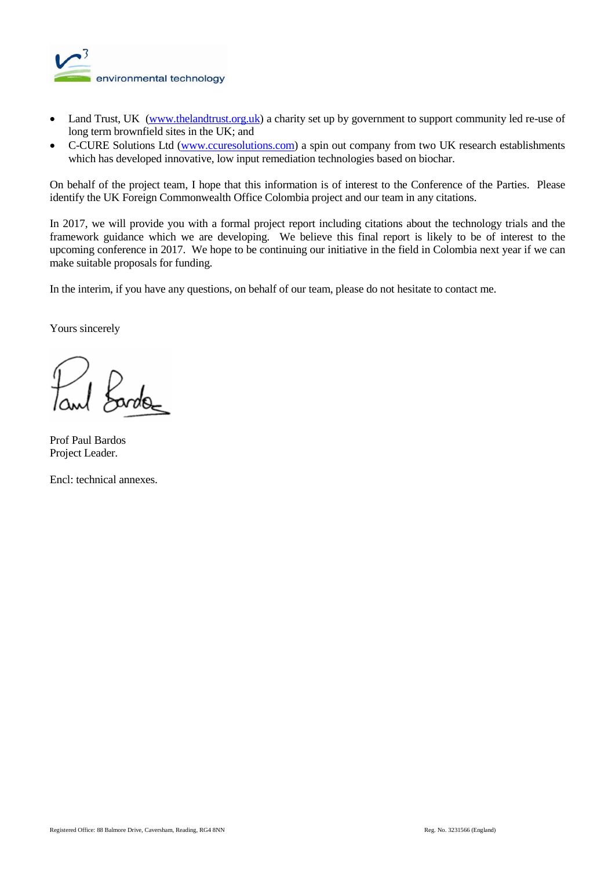

- Land Trust, UK [\(www.thelandtrust.org.uk\)](http://www.thelandtrust.org.uk/) a charity set up by government to support community led re-use of long term brownfield sites in the UK; and
- C-CURE Solutions Ltd [\(www.ccuresolutions.com\)](http://www.ccuresolutions.com/) a spin out company from two UK research establishments which has developed innovative, low input remediation technologies based on biochar.

On behalf of the project team, I hope that this information is of interest to the Conference of the Parties. Please identify the UK Foreign Commonwealth Office Colombia project and our team in any citations.

In 2017, we will provide you with a formal project report including citations about the technology trials and the framework guidance which we are developing. We believe this final report is likely to be of interest to the upcoming conference in 2017. We hope to be continuing our initiative in the field in Colombia next year if we can make suitable proposals for funding.

In the interim, if you have any questions, on behalf of our team, please do not hesitate to contact me.

Yours sincerely

*Fords* 

Prof Paul Bardos Project Leader.

Encl: technical annexes.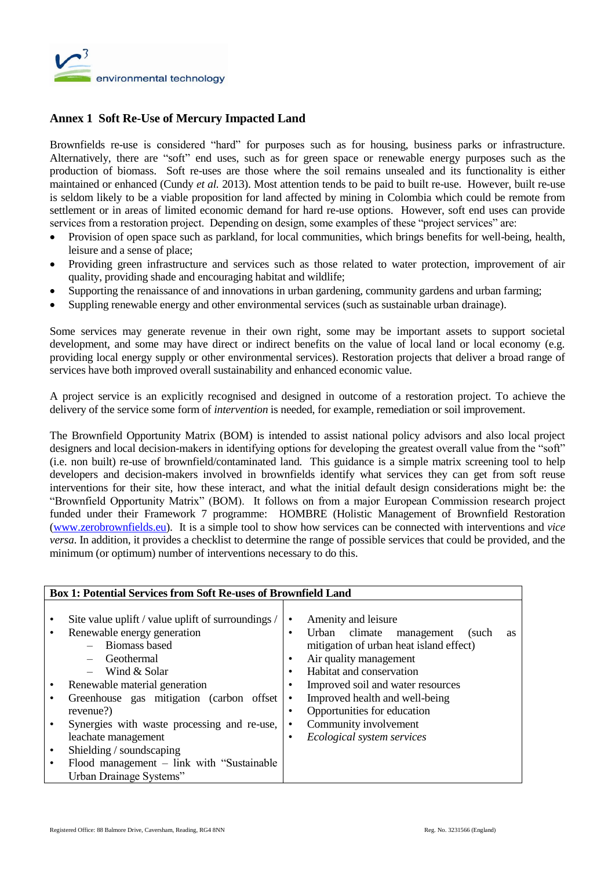

# **Annex 1 Soft Re-Use of Mercury Impacted Land**

Brownfields re-use is considered "hard" for purposes such as for housing, business parks or infrastructure. Alternatively, there are "soft" end uses, such as for green space or renewable energy purposes such as the production of biomass. Soft re-uses are those where the soil remains unsealed and its functionality is either maintained or enhanced (Cundy *et al.* 2013). Most attention tends to be paid to built re-use. However, built re-use is seldom likely to be a viable proposition for land affected by mining in Colombia which could be remote from settlement or in areas of limited economic demand for hard re-use options. However, soft end uses can provide services from a restoration project. Depending on design, some examples of these "project services" are:

- Provision of open space such as parkland, for local communities, which brings benefits for well-being, health, leisure and a sense of place;
- Providing green infrastructure and services such as those related to water protection, improvement of air quality, providing shade and encouraging habitat and wildlife;
- Supporting the renaissance of and innovations in urban gardening, community gardens and urban farming;
- Suppling renewable energy and other environmental services (such as sustainable urban drainage).

Some services may generate revenue in their own right, some may be important assets to support societal development, and some may have direct or indirect benefits on the value of local land or local economy (e.g. providing local energy supply or other environmental services). Restoration projects that deliver a broad range of services have both improved overall sustainability and enhanced economic value.

A project service is an explicitly recognised and designed in outcome of a restoration project. To achieve the delivery of the service some form of *intervention* is needed, for example, remediation or soil improvement.

The Brownfield Opportunity Matrix (BOM) is intended to assist national policy advisors and also local project designers and local decision-makers in identifying options for developing the greatest overall value from the "soft" (i.e. non built) re-use of brownfield/contaminated land. This guidance is a simple matrix screening tool to help developers and decision-makers involved in brownfields identify what services they can get from soft reuse interventions for their site, how these interact, and what the initial default design considerations might be: the "Brownfield Opportunity Matrix" (BOM). It follows on from a major European Commission research project funded under their Framework 7 programme: HOMBRE (Holistic Management of Brownfield Restoration [\(www.zerobrownfields.eu\)](http://www.zerobrownfields.eu/). It is a simple tool to show how services can be connected with interventions and *vice versa*. In addition, it provides a checklist to determine the range of possible services that could be provided, and the minimum (or optimum) number of interventions necessary to do this.

| <b>Box 1: Potential Services from Soft Re-uses of Brownfield Land</b> |                                                        |
|-----------------------------------------------------------------------|--------------------------------------------------------|
|                                                                       |                                                        |
| Site value uplift / value uplift of surroundings /                    | Amenity and leisure<br>٠                               |
| Renewable energy generation                                           | Urban climate<br>management<br>(such<br><b>as</b><br>٠ |
| - Biomass based                                                       | mitigation of urban heat island effect)                |
| Geothermal                                                            | Air quality management<br>٠                            |
| $-$ Wind & Solar                                                      | Habitat and conservation<br>٠                          |
| Renewable material generation                                         | Improved soil and water resources<br>٠                 |
| Greenhouse gas mitigation (carbon offset                              | Improved health and well-being                         |
| revenue?)                                                             | Opportunities for education<br>٠                       |
| Synergies with waste processing and re-use,                           | Community involvement<br>٠                             |
| leachate management                                                   | Ecological system services<br>٠                        |
| Shielding / soundscaping                                              |                                                        |
| Flood management $-$ link with "Sustainable"                          |                                                        |
| Urban Drainage Systems"                                               |                                                        |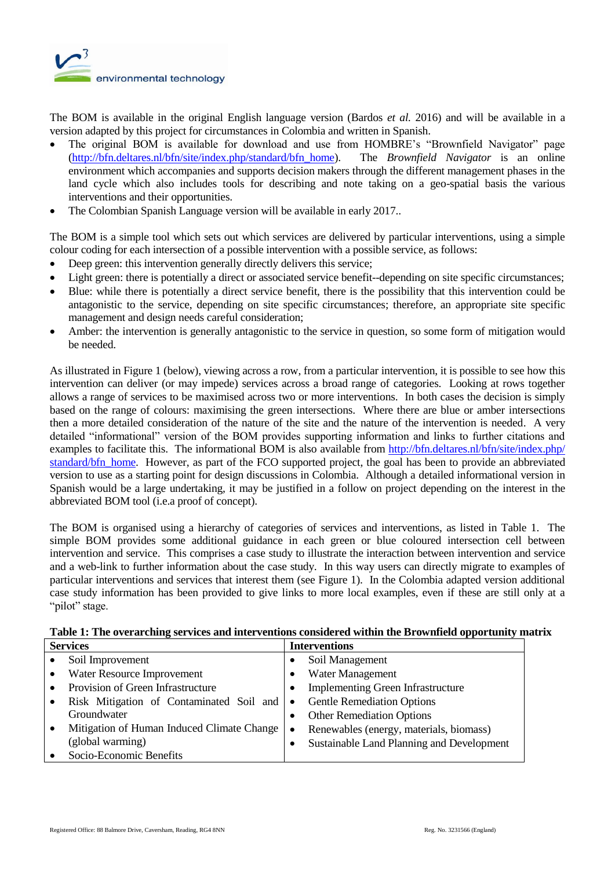

The BOM is available in the original English language version (Bardos *et al.* 2016) and will be available in a version adapted by this project for circumstances in Colombia and written in Spanish.

- The original BOM is available for download and use from HOMBRE's "Brownfield Navigator" page [\(http://bfn.deltares.nl/bfn/site/index.php/standard/bfn\\_home\)](http://bfn.deltares.nl/bfn/site/index.php/standard/bfn_home). The *Brownfield Navigator* is an online environment which accompanies and supports decision makers through the different management phases in the land cycle which also includes tools for describing and note taking on a geo-spatial basis the various interventions and their opportunities.
- The Colombian Spanish Language version will be available in early 2017..

The BOM is a simple tool which sets out which services are delivered by particular interventions, using a simple colour coding for each intersection of a possible intervention with a possible service, as follows:

- Deep green: this intervention generally directly delivers this service;
- Light green: there is potentially a direct or associated service benefit--depending on site specific circumstances;
- Blue: while there is potentially a direct service benefit, there is the possibility that this intervention could be antagonistic to the service, depending on site specific circumstances; therefore, an appropriate site specific management and design needs careful consideration;
- Amber: the intervention is generally antagonistic to the service in question, so some form of mitigation would be needed.

As illustrated in Figure 1 (below), viewing across a row, from a particular intervention, it is possible to see how this intervention can deliver (or may impede) services across a broad range of categories. Looking at rows together allows a range of services to be maximised across two or more interventions. In both cases the decision is simply based on the range of colours: maximising the green intersections. Where there are blue or amber intersections then a more detailed consideration of the nature of the site and the nature of the intervention is needed. A very detailed "informational" version of the BOM provides supporting information and links to further citations and examples to facilitate this. The informational BOM is also available from http://bfn.deltares.nl/bfn/site/index.php/ [standard/bfn\\_home.](http://bfn.deltares.nl/bfn/site/index.php/%20standard/bfn_home) However, as part of the FCO supported project*,* the goal has been to provide an abbreviated version to use as a starting point for design discussions in Colombia. Although a detailed informational version in Spanish would be a large undertaking, it may be justified in a follow on project depending on the interest in the abbreviated BOM tool (i.e.a proof of concept).

The BOM is organised using a hierarchy of categories of services and interventions, as listed in Table 1. The simple BOM provides some additional guidance in each green or blue coloured intersection cell between intervention and service. This comprises a case study to illustrate the interaction between intervention and service and a web-link to further information about the case study. In this way users can directly migrate to examples of particular interventions and services that interest them (see Figure 1). In the Colombia adapted version additional case study information has been provided to give links to more local examples, even if these are still only at a "pilot" stage.

| <b>Services</b>                                         | <b>Interventions</b>                                   |
|---------------------------------------------------------|--------------------------------------------------------|
| Soil Improvement<br>$\bullet$                           | Soil Management                                        |
| Water Resource Improvement<br>$\bullet$                 | Water Management                                       |
| Provision of Green Infrastructure<br>$\bullet$          | <b>Implementing Green Infrastructure</b><br>$\bullet$  |
| Risk Mitigation of Contaminated Soil and<br>$\bullet$   | <b>Gentle Remediation Options</b><br>$\bullet$         |
| Groundwater                                             | <b>Other Remediation Options</b><br>٠                  |
| Mitigation of Human Induced Climate Change<br>$\bullet$ | Renewables (energy, materials, biomass)<br>$\bullet$   |
| (global warming)                                        | Sustainable Land Planning and Development<br>$\bullet$ |
| Socio-Economic Benefits                                 |                                                        |

### **Table 1: The overarching services and interventions considered within the Brownfield opportunity matrix**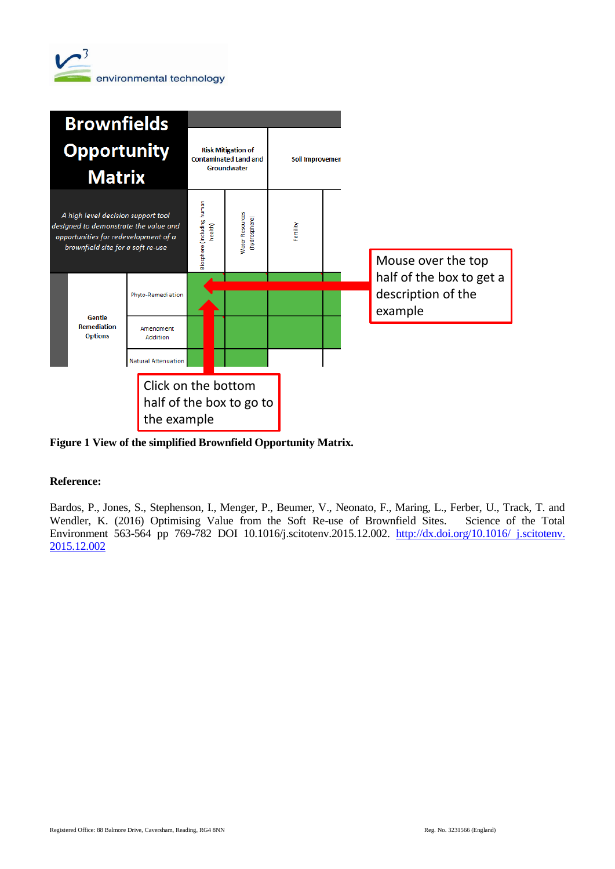



**Figure 1 View of the simplified Brownfield Opportunity Matrix.**

### **Reference:**

Bardos, P., Jones, S., Stephenson, I., Menger, P., Beumer, V., Neonato, F., Maring, L., Ferber, U., Track, T. and Wendler, K. (2016) Optimising Value from the Soft Re-use of Brownfield Sites. Science of the Total Environment 563-564 pp 769-782 DOI 10.1016/j.scitotenv.2015.12.002. [http://dx.doi.org/10.1016/ j.scitotenv.](http://dx.doi.org/10.1016/%20j.scitotenv.%202015.12.002) [2015.12.002](http://dx.doi.org/10.1016/%20j.scitotenv.%202015.12.002)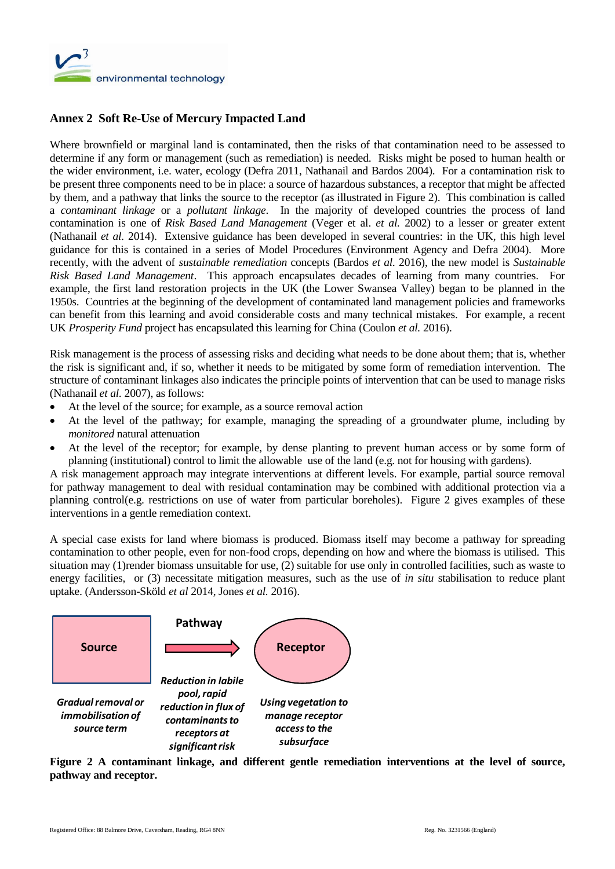

# **Annex 2 Soft Re-Use of Mercury Impacted Land**

Where brownfield or marginal land is contaminated, then the risks of that contamination need to be assessed to determine if any form or management (such as remediation) is needed. Risks might be posed to human health or the wider environment, i.e. water, ecology (Defra 2011, Nathanail and Bardos 2004). For a contamination risk to be present three components need to be in place: a source of hazardous substances, a receptor that might be affected by them, and a pathway that links the source to the receptor (as illustrated in Figure 2). This combination is called a *contaminant linkage* or a *pollutant linkage*. In the majority of developed countries the process of land contamination is one of *Risk Based Land Management* (Veger et al. *et al.* 2002) to a lesser or greater extent (Nathanail *et al.* 2014). Extensive guidance has been developed in several countries: in the UK, this high level guidance for this is contained in a series of Model Procedures (Environment Agency and Defra 2004). More recently, with the advent of *sustainable remediation* concepts (Bardos *et al.* 2016), the new model is *Sustainable Risk Based Land Management*. This approach encapsulates decades of learning from many countries. For example, the first land restoration projects in the UK (the Lower Swansea Valley) began to be planned in the 1950s. Countries at the beginning of the development of contaminated land management policies and frameworks can benefit from this learning and avoid considerable costs and many technical mistakes. For example, a recent UK *Prosperity Fund* project has encapsulated this learning for China (Coulon *et al.* 2016).

Risk management is the process of assessing risks and deciding what needs to be done about them; that is, whether the risk is significant and, if so, whether it needs to be mitigated by some form of remediation intervention. The structure of contaminant linkages also indicates the principle points of intervention that can be used to manage risks (Nathanail *et al.* 2007), as follows:

- At the level of the source; for example, as a source removal action
- At the level of the pathway; for example, managing the spreading of a groundwater plume, including by *monitored* natural attenuation
- At the level of the receptor; for example, by dense planting to prevent human access or by some form of planning (institutional) control to limit the allowable use of the land (e.g. not for housing with gardens).

A risk management approach may integrate interventions at different levels. For example, partial source removal for pathway management to deal with residual contamination may be combined with additional protection via a planning control(e.g. restrictions on use of water from particular boreholes). Figure 2 gives examples of these interventions in a gentle remediation context.

A special case exists for land where biomass is produced. Biomass itself may become a pathway for spreading contamination to other people, even for non-food crops, depending on how and where the biomass is utilised. This situation may (1)render biomass unsuitable for use, (2) suitable for use only in controlled facilities, such as waste to energy facilities, or (3) necessitate mitigation measures, such as the use of *in situ* stabilisation to reduce plant uptake. (Andersson-Sköld *et al* 2014, Jones *et al.* 2016).



**Figure 2 A contaminant linkage, and different gentle remediation interventions at the level of source, pathway and receptor.**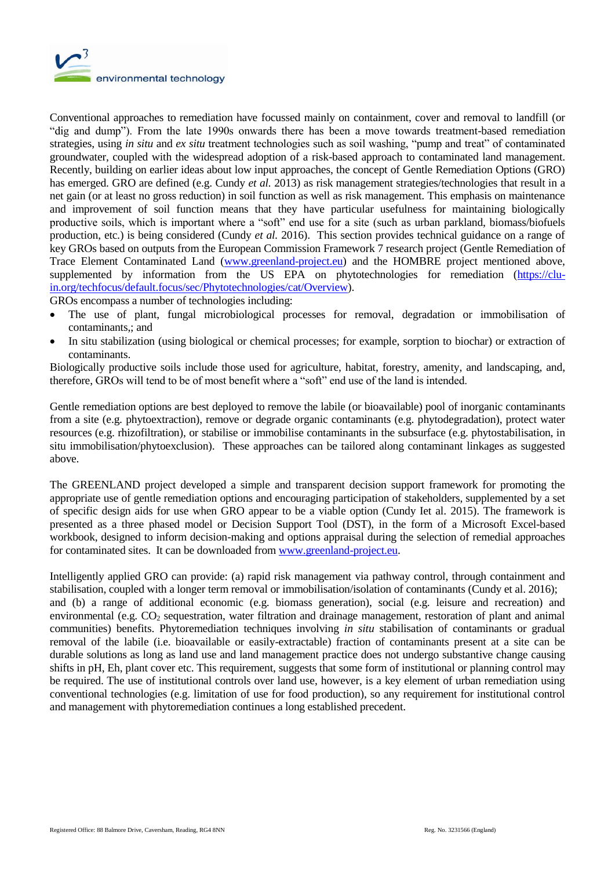

Conventional approaches to remediation have focussed mainly on containment, cover and removal to landfill (or "dig and dump"). From the late 1990s onwards there has been a move towards treatment-based remediation strategies, using *in situ* and *ex situ* treatment technologies such as soil washing, "pump and treat" of contaminated groundwater, coupled with the widespread adoption of a risk-based approach to contaminated land management. Recently, building on earlier ideas about low input approaches, the concept of Gentle Remediation Options (GRO) has emerged. GRO are defined (e.g. Cundy *et al.* 2013) as risk management strategies/technologies that result in a net gain (or at least no gross reduction) in soil function as well as risk management. This emphasis on maintenance and improvement of soil function means that they have particular usefulness for maintaining biologically productive soils, which is important where a "soft" end use for a site (such as urban parkland, biomass/biofuels production, etc*.*) is being considered (Cundy *et al.* 2016). This section provides technical guidance on a range of key GROs based on outputs from the European Commission Framework 7 research project (Gentle Remediation of Trace Element Contaminated Land [\(www.greenland-project.eu\)](http://www.greenland-project.eu/) and the HOMBRE project mentioned above, supplemented by information from the US EPA on phytotechnologies for remediation [\(https://clu](https://clu-in.org/techfocus/default.focus/sec/Phytotechnologies/cat/Overview)[in.org/techfocus/default.focus/sec/Phytotechnologies/cat/Overview\)](https://clu-in.org/techfocus/default.focus/sec/Phytotechnologies/cat/Overview).

GROs encompass a number of technologies including:

- The use of plant, fungal microbiological processes for removal, degradation or immobilisation of contaminants,; and
- In situ stabilization (using biological or chemical processes; for example, sorption to biochar) or extraction of contaminants.

Biologically productive soils include those used for agriculture, habitat, forestry, amenity, and landscaping, and, therefore, GROs will tend to be of most benefit where a "soft" end use of the land is intended.

Gentle remediation options are best deployed to remove the labile (or bioavailable) pool of inorganic contaminants from a site (e.g. phytoextraction), remove or degrade organic contaminants (e.g. phytodegradation), protect water resources (e.g. rhizofiltration), or stabilise or immobilise contaminants in the subsurface (e.g. phytostabilisation, in situ immobilisation/phytoexclusion). These approaches can be tailored along contaminant linkages as suggested above.

The GREENLAND project developed a simple and transparent decision support framework for promoting the appropriate use of gentle remediation options and encouraging participation of stakeholders, supplemented by a set of specific design aids for use when GRO appear to be a viable option (Cundy Iet al. 2015). The framework is presented as a three phased model or Decision Support Tool (DST), in the form of a Microsoft Excel-based workbook, designed to inform decision-making and options appraisal during the selection of remedial approaches for contaminated sites. It can be downloaded fro[m www.greenland-project.eu.](http://www.greenland-project.eu/)

Intelligently applied GRO can provide: (a) rapid risk management via pathway control, through containment and stabilisation, coupled with a longer term removal or immobilisation/isolation of contaminants (Cundy et al. 2016); and (b) a range of additional economic (e.g. biomass generation), social (e.g. leisure and recreation) and environmental (e.g. CO<sub>2</sub> sequestration, water filtration and drainage management, restoration of plant and animal communities) benefits. Phytoremediation techniques involving *in situ* stabilisation of contaminants or gradual removal of the labile (i.e. bioavailable or easily-extractable) fraction of contaminants present at a site can be durable solutions as long as land use and land management practice does not undergo substantive change causing shifts in pH, Eh, plant cover etc. This requirement, suggests that some form of institutional or planning control may be required. The use of institutional controls over land use, however, is a key element of urban remediation using conventional technologies (e.g. limitation of use for food production), so any requirement for institutional control and management with phytoremediation continues a long established precedent.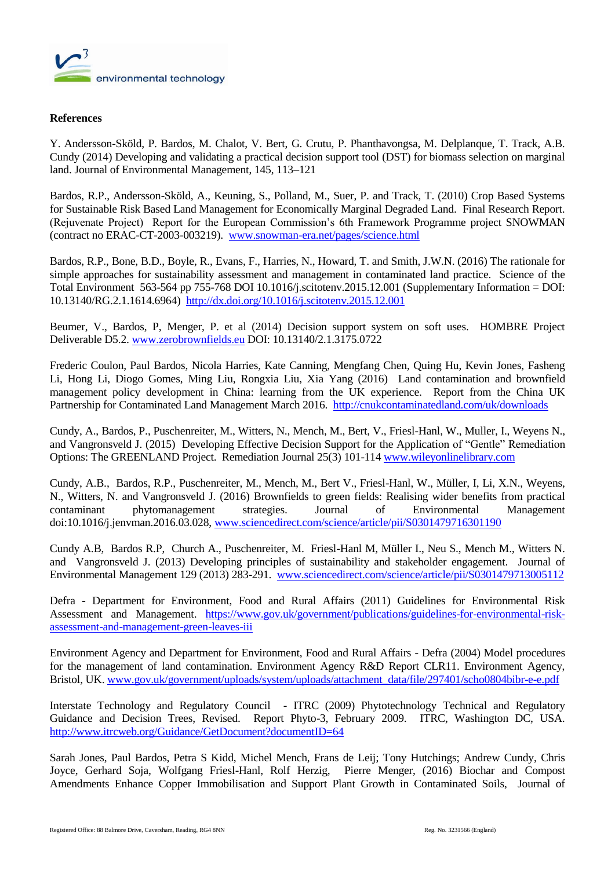

#### **References**

Y. Andersson-Sköld, P. Bardos, M. Chalot, V. Bert, G. Crutu, P. Phanthavongsa, M. Delplanque, T. Track, A.B. Cundy (2014) Developing and validating a practical decision support tool (DST) for biomass selection on marginal land. Journal of Environmental Management, 145, 113–121

Bardos, R.P., Andersson-Sköld, A., Keuning, S., Polland, M., Suer, P. and Track, T. (2010) Crop Based Systems for Sustainable Risk Based Land Management for Economically Marginal Degraded Land. Final Research Report. (Rejuvenate Project) Report for the European Commission's 6th Framework Programme project SNOWMAN (contract no ERAC-CT-2003-003219). [www.snowman-era.net/pages/science.html](http://www.snowman-era.net/pages/science.html)

Bardos, R.P., Bone, B.D., Boyle, R., Evans, F., Harries, N., Howard, T. and Smith, J.W.N. (2016) The rationale for simple approaches for sustainability assessment and management in contaminated land practice. Science of the Total Environment 563-564 pp 755-768 DOI 10.1016/j.scitotenv.2015.12.001 (Supplementary Information = DOI: 10.13140/RG.2.1.1614.6964) <http://dx.doi.org/10.1016/j.scitotenv.2015.12.001>

Beumer, V., Bardos, P, Menger, P. et al (2014) Decision support system on soft uses. HOMBRE Project Deliverable D5.2. [www.zerobrownfields.eu](http://www.zerobrownfields.eu/) DOI: 10.13140/2.1.3175.0722

Frederic Coulon, Paul Bardos, Nicola Harries, Kate Canning, Mengfang Chen, Quing Hu, Kevin Jones, Fasheng Li, Hong Li, Diogo Gomes, Ming Liu, Rongxia Liu, Xia Yang (2016) Land contamination and brownfield management policy development in China: learning from the UK experience. Report from the China UK Partnership for Contaminated Land Management March 2016.<http://cnukcontaminatedland.com/uk/downloads>

Cundy, A., Bardos, P., Puschenreiter, M., Witters, N., Mench, M., Bert, V., Friesl-Hanl, W., Muller, I., Weyens N., and Vangronsveld J. (2015) Developing Effective Decision Support for the Application of "Gentle" Remediation Options: The GREENLAND Project. Remediation Journal 25(3) 101-11[4 www.wileyonlinelibrary.com](http://www.wileyonlinelibrary.com/)

Cundy, A.B., Bardos, R.P., Puschenreiter, M., Mench, M., Bert V., Friesl-Hanl, W., Müller, I, Li, X.N., Weyens, N., Witters, N. and Vangronsveld J. (2016) Brownfields to green fields: Realising wider benefits from practical contaminant phytomanagement strategies. Journal of Environmental Management doi:10.1016/j.jenvman.2016.03.028[, www.sciencedirect.com/science/article/pii/S0301479716301190](http://www.sciencedirect.com/science/article/pii/S0301479716301190)

Cundy A.B, Bardos R.P, Church A., Puschenreiter, M. Friesl-Hanl M, Müller I., Neu S., Mench M., Witters N. and Vangronsveld J. (2013) Developing principles of sustainability and stakeholder engagement. Journal of Environmental Management 129 (2013) 283-291. [www.sciencedirect.com/science/article/pii/S0301479713005112](http://www.sciencedirect.com/science/article/pii/S0301479713005112)

Defra - Department for Environment, Food and Rural Affairs (2011) Guidelines for Environmental Risk Assessment and Management. [https://www.gov.uk/government/publications/guidelines-for-environmental-risk](https://www.gov.uk/government/publications/guidelines-for-environmental-risk-assessment-and-management-green-leaves-iii)[assessment-and-management-green-leaves-iii](https://www.gov.uk/government/publications/guidelines-for-environmental-risk-assessment-and-management-green-leaves-iii)

Environment Agency and Department for Environment, Food and Rural Affairs - Defra (2004) Model procedures for the management of land contamination. Environment Agency R&D Report CLR11. Environment Agency, Bristol, UK[. www.gov.uk/government/uploads/system/uploads/attachment\\_data/file/297401/scho0804bibr-e-e.pdf](http://www.gov.uk/government/uploads/system/uploads/attachment_data/file/297401/scho0804bibr-e-e.pdf) 

Interstate Technology and Regulatory Council - ITRC (2009) Phytotechnology Technical and Regulatory Guidance and Decision Trees, Revised. Report Phyto-3, February 2009. ITRC, Washington DC, USA. <http://www.itrcweb.org/Guidance/GetDocument?documentID=64>

Sarah Jones, Paul Bardos, Petra S Kidd, Michel Mench, Frans de Leij; Tony Hutchings; Andrew Cundy, Chris Joyce, Gerhard Soja, Wolfgang Friesl-Hanl, Rolf Herzig, Pierre Menger, (2016) Biochar and Compost Amendments Enhance Copper Immobilisation and Support Plant Growth in Contaminated Soils, Journal of